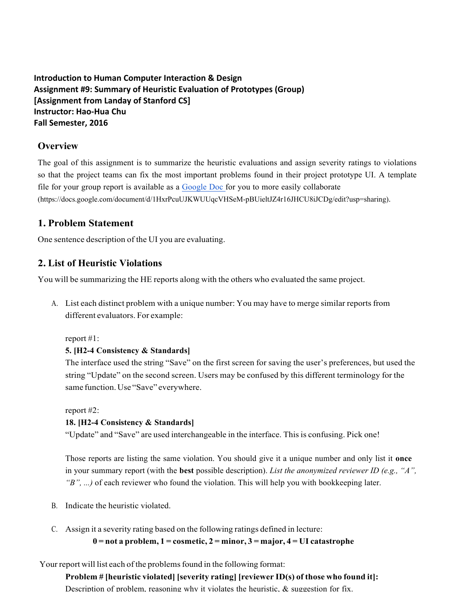**Introduction to Human Computer Interaction & Design** Assignment #9: Summary of Heuristic Evaluation of Prototypes (Group) **[Assignment from Landay of Stanford CS] Instructor: Hao-Hua Chu Fall** Semester, 2016

### **Overview**

The goal of this assignment is to summarize the heuristic evaluations and assign severity ratings to violations so that the project teams can fix the most important problems found in their project prototype UI. A template file for your group report is available as a Google Doc for you to more easily collaborate (https://docs.google.com/document/d/1HxrPcuUJKWUUqcVHSeM-pBUieltJZ4r16JHCU8iJCDg/edit?usp=sharing).

## **1. Problem Statement**

One sentence description of the UI you are evaluating.

## **2. List of Heuristic Violations**

You will be summarizing the HE reports along with the others who evaluated the same project.

A. List each distinct problem with a unique number: You may have to merge similar reports from different evaluators. For example:

report #1:

#### **5. [H2-4 Consistency & Standards]**

The interface used the string "Save" on the first screen for saving the user's preferences, but used the string "Update" on the second screen. Users may be confused by this different terminology for the same function. Use "Save" everywhere.

report #2:

#### **18. [H2-4 Consistency & Standards]**

"Update" and "Save" are used interchangeable in the interface. This is confusing. Pick one!

Those reports are listing the same violation. You should give it a unique number and only list it **once** in your summary report (with the **best** possible description). *List the anonymized reviewer ID (e.g., "A", "B", ...)* of each reviewer who found the violation. This will help you with bookkeeping later.

- B. Indicate the heuristic violated.
- C. Assign it a severity rating based on the following ratings defined in lecture:

**0 = not a problem, 1 = cosmetic, 2 = minor, 3 = major, 4 = UI catastrophe**

Your report will list each of the problems found in the following format:

**Problem # [heuristic violated] [severity rating] [reviewer ID(s) of those who found it]:** Description of problem, reasoning why it violates the heuristic,  $\&$  suggestion for fix.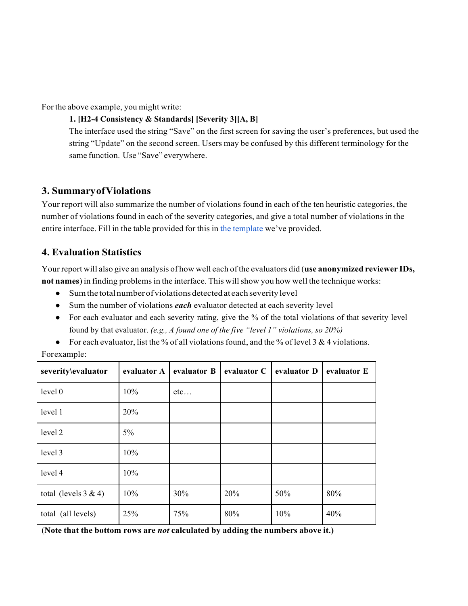For the above example, you might write:

### **1. [H2-4 Consistency & Standards] [Severity 3][A, B]**

The interface used the string "Save" on the first screen for saving the user's preferences, but used the string "Update" on the second screen. Users may be confused by this different terminology for the same function. Use "Save" everywhere.

## **3. SummaryofViolations**

Your report will also summarize the number of violations found in each of the ten heuristic categories, the number of violations found in each of the severity categories, and give a total number of violations in the entire interface. Fill in the table provided for this in the template we've provided.

# **4. Evaluation Statistics**

Your report will also give an analysis of how well each of the evaluators did (**use anonymized reviewer IDs, not names**) in finding problemsin the interface. This willshow you how well the technique works:

- Sum the total number of violations detected at each severity level
- Sum the number of violations *each* evaluator detected at each severity level
- For each evaluator and each severity rating, give the % of the total violations of that severity level found by that evaluator. *(e.g., A found one of the five "level 1" violations, so 20%)*
- For each evaluator, list the % of all violations found, and the % of level 3 & 4 violations.

| severity\evaluator      | evaluator A | evaluator B | evaluator C | evaluator D | evaluator E |
|-------------------------|-------------|-------------|-------------|-------------|-------------|
| level 0                 | 10%         | etc         |             |             |             |
| level 1                 | 20%         |             |             |             |             |
| level 2                 | $5\%$       |             |             |             |             |
| level 3                 | 10%         |             |             |             |             |
| level 4                 | 10%         |             |             |             |             |
| total (levels $3 & 4$ ) | 10%         | 30%         | 20%         | 50%         | 80%         |
| total (all levels)      | 25%         | 75%         | 80%         | 10%         | 40%         |

Forexample:

(**Note that the bottom rows are** *not* **calculated by adding the numbers above it.)**